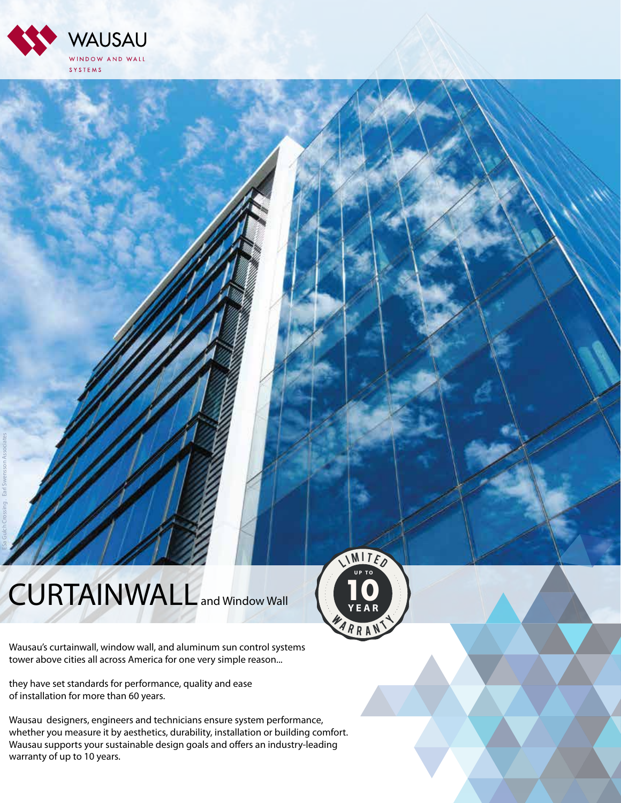

## CURTAINWALL and Window Wall



Wausau's curtainwall, window wall, and aluminum sun control systems tower above cities all across America for one very simple reason...

they have set standards for performance, quality and ease of installation for more than 60 years.

Wausau designers, engineers and technicians ensure system performance, whether you measure it by aesthetics, durability, installation or building comfort. Wausau supports your sustainable design goals and offers an industry-leading warranty of up to 10 years.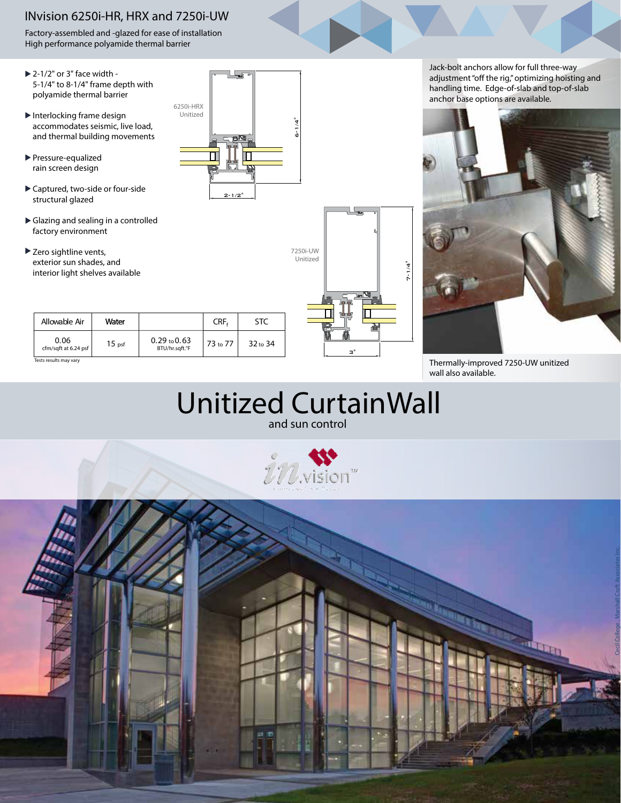### INvision 6250i-HR, HRX and 7250i-UW

Factory-assembled and -glazed for ease of installation High performance polyamide thermal barrier

- $\blacktriangleright$  2-1/2" or 3" face width -5-1/4" to 8-1/4" frame depth with polyamide thermal barrier
- $\blacktriangleright$  Interlocking frame design accommodates seismic, live load, and thermal building movements
- **Pressure-equalized** rain screen design
- Captured, two-side or four-side structural glazed
- Glazing and sealing in a controlled factory environment
- ▶ Zero sightline vents, exterior sun shades, and interior light shelves available ro sightline vents,<br>terior sun shades, and<br>terior light shelves available<br>Allowable Air | Water

| Allowable Air                | Water             |                                           | CRF <sub>r</sub> | STC                 |
|------------------------------|-------------------|-------------------------------------------|------------------|---------------------|
| 0.06<br>cfm/sqft at 6.24 psf | 15 <sub>psf</sub> | $0.29 \text{ to } 0.63$<br>BTU/hr.sqft.°F | 73 to 77         | 32 <sub>to</sub> 34 |



Jack-bolt anchors allow for full three-way adjustment "off the rig," optimizing hoisting and handling time. Edge-of-slab and top-of-slab anchor base options are available.



Tests results may vary Tests results may vary Thermally-improved 7250-UW unitized wall also available.

| Unitized CurtainWall |  |
|----------------------|--|
| and sun control      |  |

3"

7-1/4"

7250i-UW Unitized



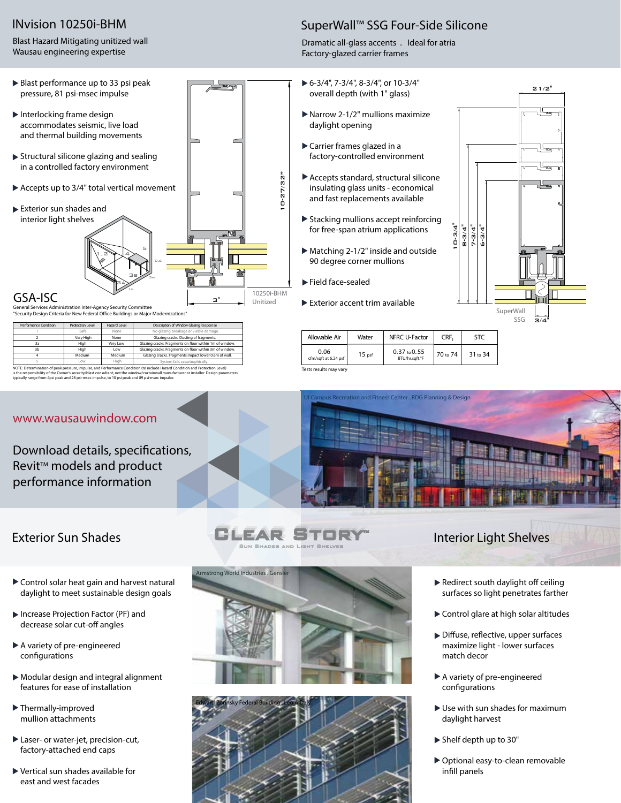### INvision 10250i-BHM

Blast Hazard Mitigating unitized wall Wausau engineering expertise

#### SuperWall™ SSG Four-Side Silicone

Dramatic all-glass accents . Ideal for atria Factory-glazed carrier frames

- 6-3/4", 7-3/4", 8-3/4", or 10-3/4" overall depth (with 1" glass)
- Narrow 2-1/2" mullions maximize daylight opening
- Carrier frames glazed in a factory-controlled environment
- Accepts standard, structural silicone insulating glass units - economical and fast replacements available
- Stacking mullions accept reinforcing for free-span atrium applications
- Matching 2-1/2" inside and outside 90 degree corner mullions
- Field face-sealed
- Exterior accent trim available



| Allowable Air                | Water             | NFRC U-Factor                             | CRF <sub>c</sub> | <b>STC</b> |
|------------------------------|-------------------|-------------------------------------------|------------------|------------|
| 0.06<br>cfm/sqft at 6.24 psf | 15 <sub>psf</sub> | $0.37 \text{ to } 0.55$<br>BTU/hr.saft.°F | 70 to 74         | 31 to 34   |

NOTE: Determination of peak pressure, impulse, and Performance Condition (to include Hazard Condition and Protection Level) Tests results may vary



Low Medium High High Very High Safe None

of the Owner's security/blast consultant; not the Owner's security/blast consultant

4 3b 3a 2

www.wausauwindow.com

Download details, specifications, Revit<sup>™</sup> models and product performance information

None Low Medium High Very Low

Performance Condition **Protection Level Hazard Level Description of Window Glazing Response** 

- Control solar heat gain and harvest natural daylight to meet sustainable design goals
- Increase Projection Factor (PF) and decrease solar cut-off angles
- A variety of pre-engineered configurations
- Modular design and integral alignment features for ease of installation
- Thermally-improved mullion attachments
- Laser- or water-jet, precision-cut, factory-attached end caps
- Vertical sun shades available for east and west facades



EAR ST Sun Shades and Light Shelves



## Exterior Sun Shades **Interior Light Shelves Interior Light Shelves**

- $\blacktriangleright$  Redirect south daylight off ceiling surfaces so light penetrates farther
- Control glare at high solar altitudes
- $\blacktriangleright$  Diffuse, reflective, upper surfaces maximize light - lower surfaces match decor
- A variety of pre-engineered configurations
- Use with sun shades for maximum daylight harvest
- Shelf depth up to 30"
- Optional easy-to-clean removable infill panels





System fails catastrophically. Glazing cracks. Fragments on floor within 1m of window. Glazing cracks. Dusting of fragments. Glazing cracks. Fragments impact lower 0.6m of wall. Glazing cracks. Fragments on floor within 3m of window. No glazing breakage or visible damage.